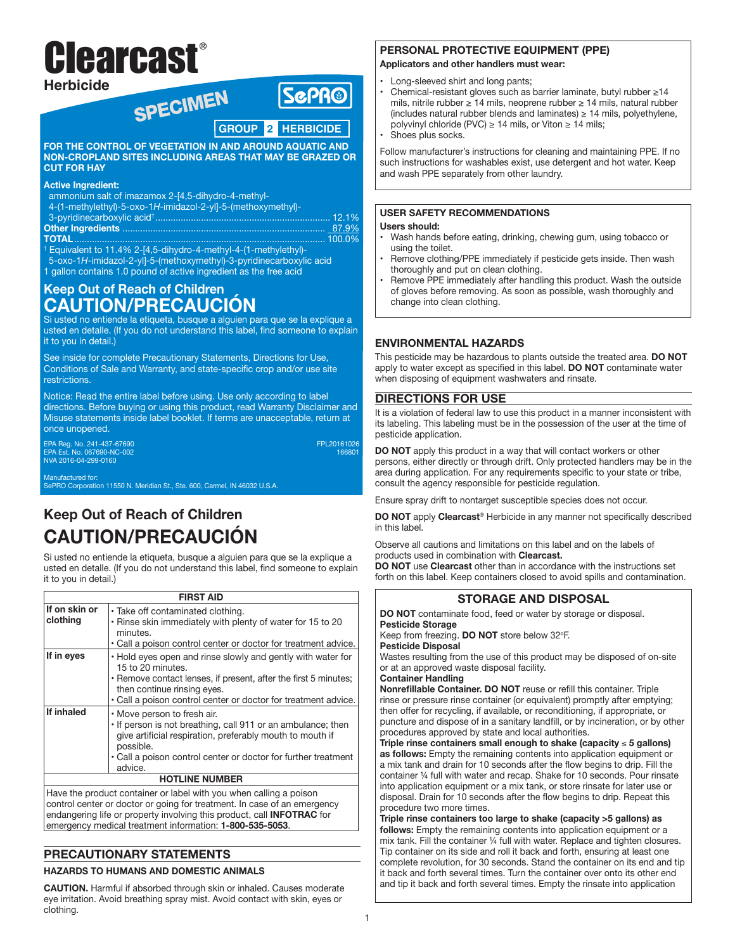# Clearcast**® Herbicide**

## SPECIMEN **SGPR® GROUP 2 HERBICIDEFOR THE CONTROL OF VEGETATION IN AND AROUND AQUATIC AND**

**NON-CROPLAND SITES INCLUDING AREAS THAT MAY BE GRAZED OR CUT FOR HAY**

#### **Active Ingredient:**

ammonium salt of imazamox 2-[4,5-dihydro-4-methyl-

4-(1-methylethyl)-5-oxo-1*H*-imidazol-2-yl]-5-(methoxymethyl)-

| TOTAL TOTAL AND LODGED AT $\sim$ 1000 $\sim$ 1000 $\sim$ 1000 $\sim$ |  |
|----------------------------------------------------------------------|--|

**TOTAL**................................................................................................... 100.0% † Equivalent to 11.4% 2-[4,5-dihydro-4-methyl-4-(1-methylethyl)- 5-oxo-1*H*-imidazol-2-yl]-5-(methoxymethyl)-3-pyridinecarboxylic acid 1 gallon contains 1.0 pound of active ingredient as the free acid

## **Keep Out of Reach of Children CAUTION/PRECAUCIÓN**

Si usted no entiende la etiqueta, busque a alguien para que se la explique a usted en detalle. (If you do not understand this label, find someone to explain it to you in detail.)

See inside for complete Precautionary Statements, Directions for Use, Conditions of Sale and Warranty, and state-specific crop and/or use site restrictions.

Notice: Read the entire label before using. Use only according to label directions. Before buying or using this product, read Warranty Disclaimer and Misuse statements inside label booklet. If terms are unacceptable, return at once unopened.

EPA Reg. No. 241-437-67690<br>EPA Est. No. 067690-NC-002<br>NVA 2016-04-299-0160 PORTENT REG. No. 07166801

Manufactured for:

SePRO Corporation 11550 N. Meridian St., Ste. 600, Carmel, IN 46032 U.S.A.

## **Keep Out of Reach of Children CAUTION/PRECAUCIÓN**

Si usted no entiende la etiqueta, busque a alguien para que se la explique a usted en detalle. (If you do not understand this label, find someone to explain it to you in detail.)

|                           | <b>FIRST AID</b>                                                                                                                                                                                                                                     |  |
|---------------------------|------------------------------------------------------------------------------------------------------------------------------------------------------------------------------------------------------------------------------------------------------|--|
| If on skin or<br>clothing | • Take off contaminated clothing.<br>. Rinse skin immediately with plenty of water for 15 to 20<br>minutes.<br>• Call a poison control center or doctor for treatment advice.                                                                        |  |
| If in eyes                | • Hold eyes open and rinse slowly and gently with water for<br>15 to 20 minutes.<br>. Remove contact lenses, if present, after the first 5 minutes;<br>then continue rinsing eyes.<br>• Call a poison control center or doctor for treatment advice. |  |
| If inhaled                | • Move person to fresh air.<br>. If person is not breathing, call 911 or an ambulance; then<br>give artificial respiration, preferably mouth to mouth if<br>possible.<br>• Call a poison control center or doctor for further treatment<br>advice.   |  |
| <b>HOTLINE NUMBER</b>     |                                                                                                                                                                                                                                                      |  |
|                           |                                                                                                                                                                                                                                                      |  |

Have the product container or label with you when calling a poison control center or doctor or going for treatment. In case of an emergency endangering life or property involving this product, call **INFOTRAC** for emergency medical treatment information: **1-800-535-5053**.

## **PRECAUTIONARY STATEMENTS**

## **HAZARDS TO HUMANS AND DOMESTIC ANIMALS**

**CAUTION.** Harmful if absorbed through skin or inhaled. Causes moderate eye irritation. Avoid breathing spray mist. Avoid contact with skin, eyes or clothing.

## **PERSONAL PROTECTIVE EQUIPMENT (PPE)**

**Applicators and other handlers must wear:**

- Long-sleeved shirt and long pants;
- Chemical-resistant gloves such as barrier laminate, butyl rubber ≥14 mils, nitrile rubber ≥ 14 mils, neoprene rubber ≥ 14 mils, natural rubber (includes natural rubber blends and laminates)  $\geq 14$  mils, polyethylene, polyvinyl chloride (PVC)  $\geq$  14 mils, or Viton  $\geq$  14 mils;
- Shoes plus socks.

Follow manufacturer's instructions for cleaning and maintaining PPE. If no such instructions for washables exist, use detergent and hot water. Keep and wash PPE separately from other laundry.

## **USER SAFETY RECOMMENDATIONS**

#### **Users should:**

- Wash hands before eating, drinking, chewing gum, using tobacco or using the toilet.
- Remove clothing/PPE immediately if pesticide gets inside. Then wash thoroughly and put on clean clothing.
- Remove PPE immediately after handling this product. Wash the outside of gloves before removing. As soon as possible, wash thoroughly and change into clean clothing.

## **ENVIRONMENTAL HAZARDS**

This pesticide may be hazardous to plants outside the treated area. **DO NOT** apply to water except as specified in this label. **DO NOT** contaminate water when disposing of equipment washwaters and rinsate.

## **DIRECTIONS FOR USE**

It is a violation of federal law to use this product in a manner inconsistent with its labeling. This labeling must be in the possession of the user at the time of pesticide application.

**DO NOT** apply this product in a way that will contact workers or other persons, either directly or through drift. Only protected handlers may be in the area during application. For any requirements specific to your state or tribe, consult the agency responsible for pesticide regulation.

Ensure spray drift to nontarget susceptible species does not occur.

**DO NOT** apply **Clearcast**® Herbicide in any manner not specifically described in this label.

Observe all cautions and limitations on this label and on the labels of products used in combination with **Clearcast.** 

**DO NOT** use **Clearcast** other than in accordance with the instructions set forth on this label. Keep containers closed to avoid spills and contamination.

## **STORAGE AND DISPOSAL**

**DO NOT** contaminate food, feed or water by storage or disposal. **Pesticide Storage**

Keep from freezing. DO NOT store below 32°F.

**Pesticide Disposal**

Wastes resulting from the use of this product may be disposed of on-site or at an approved waste disposal facility.

**Container Handling**

**Nonrefillable Container. DO NOT** reuse or refill this container. Triple rinse or pressure rinse container (or equivalent) promptly after emptying; then offer for recycling, if available, or reconditioning, if appropriate, or puncture and dispose of in a sanitary landfill, or by incineration, or by other procedures approved by state and local authorities.

**Triple rinse containers small enough to shake (capacity** ≤ **5 gallons) as follows:** Empty the remaining contents into application equipment or a mix tank and drain for 10 seconds after the flow begins to drip. Fill the container ¼ full with water and recap. Shake for 10 seconds. Pour rinsate into application equipment or a mix tank, or store rinsate for later use or disposal. Drain for 10 seconds after the flow begins to drip. Repeat this procedure two more times.

**Triple rinse containers too large to shake (capacity >5 gallons) as follows:** Empty the remaining contents into application equipment or a mix tank. Fill the container ¼ full with water. Replace and tighten closures. Tip container on its side and roll it back and forth, ensuring at least one complete revolution, for 30 seconds. Stand the container on its end and tip it back and forth several times. Turn the container over onto its other end and tip it back and forth several times. Empty the rinsate into application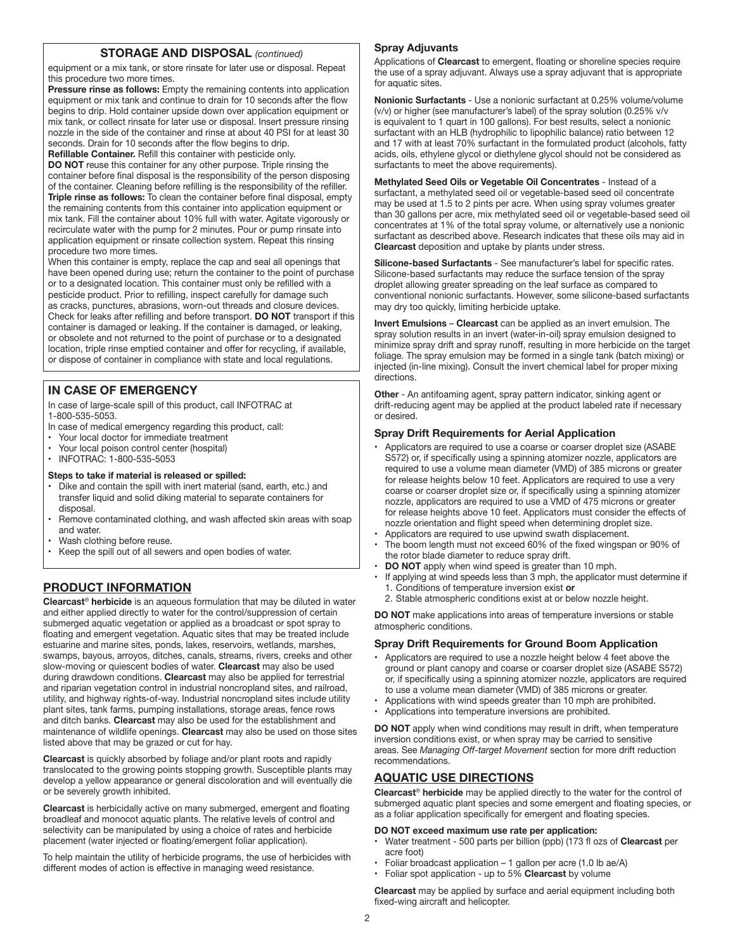#### **STORAGE AND DISPOSAL** *(continued)*

equipment or a mix tank, or store rinsate for later use or disposal. Repeat this procedure two more times.

**Pressure rinse as follows:** Empty the remaining contents into application equipment or mix tank and continue to drain for 10 seconds after the flow begins to drip. Hold container upside down over application equipment or mix tank, or collect rinsate for later use or disposal. Insert pressure rinsing nozzle in the side of the container and rinse at about 40 PSI for at least 30 seconds. Drain for 10 seconds after the flow begins to drip.

**Refillable Container.** Refill this container with pesticide only. **DO NOT** reuse this container for any other purpose. Triple rinsing the container before final disposal is the responsibility of the person disposing of the container. Cleaning before refilling is the responsibility of the refiller. **Triple rinse as follows:** To clean the container before final disposal, empty the remaining contents from this container into application equipment or mix tank. Fill the container about 10% full with water. Agitate vigorously or recirculate water with the pump for 2 minutes. Pour or pump rinsate into application equipment or rinsate collection system. Repeat this rinsing procedure two more times.

When this container is empty, replace the cap and seal all openings that have been opened during use; return the container to the point of purchase or to a designated location. This container must only be refilled with a pesticide product. Prior to refilling, inspect carefully for damage such as cracks, punctures, abrasions, worn-out threads and closure devices. Check for leaks after refilling and before transport. **DO NOT** transport if this container is damaged or leaking. If the container is damaged, or leaking, or obsolete and not returned to the point of purchase or to a designated location, triple rinse emptied container and offer for recycling, if available, or dispose of container in compliance with state and local regulations.

## **IN CASE OF EMERGENCY**

In case of large-scale spill of this product, call INFOTRAC at 1-800-535-5053.

- In case of medical emergency regarding this product, call:
- Your local doctor for immediate treatment
- Your local poison control center (hospital)
- INFOTRAC: 1-800-535-5053

#### **Steps to take if material is released or spilled:**

- Dike and contain the spill with inert material (sand, earth, etc.) and transfer liquid and solid diking material to separate containers for disposal.
- Remove contaminated clothing, and wash affected skin areas with soap and water.
- Wash clothing before reuse.
- Keep the spill out of all sewers and open bodies of water.

## **PRODUCT INFORMATION**

**Clearcast**® **herbicide** is an aqueous formulation that may be diluted in water and either applied directly to water for the control/suppression of certain submerged aquatic vegetation or applied as a broadcast or spot spray to floating and emergent vegetation. Aquatic sites that may be treated include estuarine and marine sites, ponds, lakes, reservoirs, wetlands, marshes, swamps, bayous, arroyos, ditches, canals, streams, rivers, creeks and other slow-moving or quiescent bodies of water. **Clearcast** may also be used during drawdown conditions. **Clearcast** may also be applied for terrestrial and riparian vegetation control in industrial noncropland sites, and railroad, utility, and highway rights-of-way. Industrial noncropland sites include utility plant sites, tank farms, pumping installations, storage areas, fence rows and ditch banks. **Clearcast** may also be used for the establishment and maintenance of wildlife openings. **Clearcast** may also be used on those sites listed above that may be grazed or cut for hay.

**Clearcast** is quickly absorbed by foliage and/or plant roots and rapidly translocated to the growing points stopping growth. Susceptible plants may develop a yellow appearance or general discoloration and will eventually die or be severely growth inhibited.

**Clearcast** is herbicidally active on many submerged, emergent and floating broadleaf and monocot aquatic plants. The relative levels of control and selectivity can be manipulated by using a choice of rates and herbicide placement (water injected or floating/emergent foliar application).

To help maintain the utility of herbicide programs, the use of herbicides with different modes of action is effective in managing weed resistance.

#### **Spray Adjuvants**

Applications of **Clearcast** to emergent, floating or shoreline species require the use of a spray adjuvant. Always use a spray adjuvant that is appropriate for aquatic sites.

**Nonionic Surfactants** - Use a nonionic surfactant at 0.25% volume/volume (v/v) or higher (see manufacturer's label) of the spray solution (0.25% v/v is equivalent to 1 quart in 100 gallons). For best results, select a nonionic surfactant with an HLB (hydrophilic to lipophilic balance) ratio between 12 and 17 with at least 70% surfactant in the formulated product (alcohols, fatty acids, oils, ethylene glycol or diethylene glycol should not be considered as surfactants to meet the above requirements).

**Methylated Seed Oils or Vegetable Oil Concentrates** - Instead of a surfactant, a methylated seed oil or vegetable-based seed oil concentrate may be used at 1.5 to 2 pints per acre. When using spray volumes greater than 30 gallons per acre, mix methylated seed oil or vegetable-based seed oil concentrates at 1% of the total spray volume, or alternatively use a nonionic surfactant as described above. Research indicates that these oils may aid in **Clearcast** deposition and uptake by plants under stress.

**Silicone-based Surfactants** - See manufacturer's label for specific rates. Silicone-based surfactants may reduce the surface tension of the spray droplet allowing greater spreading on the leaf surface as compared to conventional nonionic surfactants. However, some silicone-based surfactants may dry too quickly, limiting herbicide uptake.

**Invert Emulsions** – **Clearcast** can be applied as an invert emulsion. The spray solution results in an invert (water-in-oil) spray emulsion designed to minimize spray drift and spray runoff, resulting in more herbicide on the target foliage. The spray emulsion may be formed in a single tank (batch mixing) or injected (in-line mixing). Consult the invert chemical label for proper mixing directions.

**Other** - An antifoaming agent, spray pattern indicator, sinking agent or drift-reducing agent may be applied at the product labeled rate if necessary or desired.

#### **Spray Drift Requirements for Aerial Application**

- Applicators are required to use a coarse or coarser droplet size (ASABE S572) or, if specifically using a spinning atomizer nozzle, applicators are required to use a volume mean diameter (VMD) of 385 microns or greater for release heights below 10 feet. Applicators are required to use a very coarse or coarser droplet size or, if specifically using a spinning atomizer nozzle, applicators are required to use a VMD of 475 microns or greater for release heights above 10 feet. Applicators must consider the effects of nozzle orientation and flight speed when determining droplet size.
- Applicators are required to use upwind swath displacement.
- The boom length must not exceed 60% of the fixed wingspan or 90% of the rotor blade diameter to reduce spray drift.
- **DO NOT** apply when wind speed is greater than 10 mph.
- If applying at wind speeds less than  $3$  mph, the applicator must determine if 1. Conditions of temperature inversion exist **or**
- 2. Stable atmospheric conditions exist at or below nozzle height.

**DO NOT** make applications into areas of temperature inversions or stable atmospheric conditions.

#### **Spray Drift Requirements for Ground Boom Application**

- Applicators are required to use a nozzle height below 4 feet above the ground or plant canopy and coarse or coarser droplet size (ASABE S572) or, if specifically using a spinning atomizer nozzle, applicators are required to use a volume mean diameter (VMD) of 385 microns or greater.
- Applications with wind speeds greater than 10 mph are prohibited.
- Applications into temperature inversions are prohibited.

**DO NOT** apply when wind conditions may result in drift, when temperature inversion conditions exist, or when spray may be carried to sensitive areas. See *Managing Off-target Movement* section for more drift reduction recommendations.

## **AQUATIC USE DIRECTIONS**

**Clearcast**® **herbicide** may be applied directly to the water for the control of submerged aquatic plant species and some emergent and floating species, or as a foliar application specifically for emergent and floating species.

#### **DO NOT exceed maximum use rate per application:**

- Water treatment 500 parts per billion (ppb) (173 fl ozs of **Clearcast** per acre foot)
- Foliar broadcast application 1 gallon per acre (1.0 lb ae/A)
- Foliar spot application up to 5% **Clearcast** by volume

**Clearcast** may be applied by surface and aerial equipment including both fixed-wing aircraft and helicopter.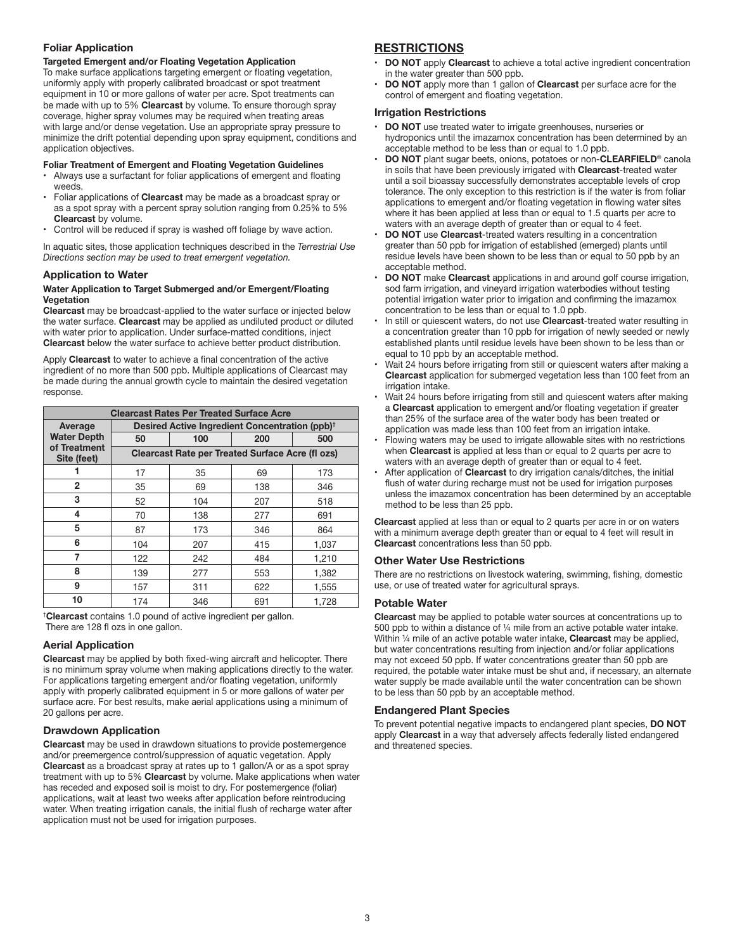#### **Foliar Application**

#### **Targeted Emergent and/or Floating Vegetation Application**

To make surface applications targeting emergent or floating vegetation, uniformly apply with properly calibrated broadcast or spot treatment equipment in 10 or more gallons of water per acre. Spot treatments can be made with up to 5% **Clearcast** by volume. To ensure thorough spray coverage, higher spray volumes may be required when treating areas with large and/or dense vegetation. Use an appropriate spray pressure to minimize the drift potential depending upon spray equipment, conditions and application objectives.

#### **Foliar Treatment of Emergent and Floating Vegetation Guidelines**

- Always use a surfactant for foliar applications of emergent and floating weeds.
- Foliar applications of **Clearcast** may be made as a broadcast spray or as a spot spray with a percent spray solution ranging from 0.25% to 5% **Clearcast** by volume.
- Control will be reduced if spray is washed off foliage by wave action.

In aquatic sites, those application techniques described in the *Terrestrial Use Directions section may be used to treat emergent vegetation.*

#### **Application to Water**

#### **Water Application to Target Submerged and/or Emergent/Floating Vegetation**

**Clearcast** may be broadcast-applied to the water surface or injected below the water surface. **Clearcast** may be applied as undiluted product or diluted with water prior to application. Under surface-matted conditions, inject **Clearcast** below the water surface to achieve better product distribution.

Apply **Clearcast** to water to achieve a final concentration of the active ingredient of no more than 500 ppb. Multiple applications of Clearcast may be made during the annual growth cycle to maintain the desired vegetation response.

| <b>Clearcast Rates Per Treated Surface Acre</b> |                                                            |     |     |       |  |
|-------------------------------------------------|------------------------------------------------------------|-----|-----|-------|--|
| Average                                         | Desired Active Ingredient Concentration (ppb) <sup>†</sup> |     |     |       |  |
| <b>Water Depth</b>                              | 50                                                         | 100 | 200 | 500   |  |
| of Treatment<br>Site (feet)                     | <b>Clearcast Rate per Treated Surface Acre (fl ozs)</b>    |     |     |       |  |
|                                                 | 17                                                         | 35  | 69  | 173   |  |
| $\overline{2}$                                  | 35                                                         | 69  | 138 | 346   |  |
| 3                                               | 52                                                         | 104 | 207 | 518   |  |
| 4                                               | 70                                                         | 138 | 277 | 691   |  |
| 5                                               | 87                                                         | 173 | 346 | 864   |  |
| 6                                               | 104                                                        | 207 | 415 | 1,037 |  |
| 7                                               | 122                                                        | 242 | 484 | 1,210 |  |
| 8                                               | 139                                                        | 277 | 553 | 1,382 |  |
| 9                                               | 157                                                        | 311 | 622 | 1,555 |  |
| 10                                              | 174                                                        | 346 | 691 | 1.728 |  |

† **Clearcast** contains 1.0 pound of active ingredient per gallon.

There are 128 fl ozs in one gallon.

#### **Aerial Application**

**Clearcast** may be applied by both fixed-wing aircraft and helicopter. There is no minimum spray volume when making applications directly to the water. For applications targeting emergent and/or floating vegetation, uniformly apply with properly calibrated equipment in 5 or more gallons of water per surface acre. For best results, make aerial applications using a minimum of 20 gallons per acre.

#### **Drawdown Application**

**Clearcast** may be used in drawdown situations to provide postemergence and/or preemergence control/suppression of aquatic vegetation. Apply **Clearcast** as a broadcast spray at rates up to 1 gallon/A or as a spot spray treatment with up to 5% **Clearcast** by volume. Make applications when water has receded and exposed soil is moist to dry. For postemergence (foliar) applications, wait at least two weeks after application before reintroducing water. When treating irrigation canals, the initial flush of recharge water after application must not be used for irrigation purposes.

#### **RESTRICTIONS**

- **DO NOT** apply **Clearcast** to achieve a total active ingredient concentration in the water greater than 500 ppb.
- **DO NOT** apply more than 1 gallon of **Clearcast** per surface acre for the control of emergent and floating vegetation.

#### **Irrigation Restrictions**

- **DO NOT** use treated water to irrigate greenhouses, nurseries or hydroponics until the imazamox concentration has been determined by an acceptable method to be less than or equal to 1.0 ppb.
- **DO NOT** plant sugar beets, onions, potatoes or non-**CLEARFIELD**® canola in soils that have been previously irrigated with **Clearcast**-treated water until a soil bioassay successfully demonstrates acceptable levels of crop tolerance. The only exception to this restriction is if the water is from foliar applications to emergent and/or floating vegetation in flowing water sites where it has been applied at less than or equal to 1.5 quarts per acre to waters with an average depth of greater than or equal to 4 feet.
- **DO NOT** use **Clearcast**-treated waters resulting in a concentration greater than 50 ppb for irrigation of established (emerged) plants until residue levels have been shown to be less than or equal to 50 ppb by an acceptable method.
- **DO NOT** make **Clearcast** applications in and around golf course irrigation, sod farm irrigation, and vineyard irrigation waterbodies without testing potential irrigation water prior to irrigation and confirming the imazamox concentration to be less than or equal to 1.0 ppb.
- In still or quiescent waters, do not use **Clearcast**-treated water resulting in a concentration greater than 10 ppb for irrigation of newly seeded or newly established plants until residue levels have been shown to be less than or equal to 10 ppb by an acceptable method.
- Wait 24 hours before irrigating from still or quiescent waters after making a **Clearcast** application for submerged vegetation less than 100 feet from an irrigation intake.
- Wait 24 hours before irrigating from still and quiescent waters after making a **Clearcast** application to emergent and/or floating vegetation if greater than 25% of the surface area of the water body has been treated or application was made less than 100 feet from an irrigation intake.
- Flowing waters may be used to irrigate allowable sites with no restrictions when **Clearcast** is applied at less than or equal to 2 quarts per acre to waters with an average depth of greater than or equal to 4 feet.
- After application of **Clearcast** to dry irrigation canals/ditches, the initial flush of water during recharge must not be used for irrigation purposes unless the imazamox concentration has been determined by an acceptable method to be less than 25 ppb.

**Clearcast** applied at less than or equal to 2 quarts per acre in or on waters with a minimum average depth greater than or equal to 4 feet will result in **Clearcast** concentrations less than 50 ppb.

#### **Other Water Use Restrictions**

There are no restrictions on livestock watering, swimming, fishing, domestic use, or use of treated water for agricultural sprays.

#### **Potable Water**

**Clearcast** may be applied to potable water sources at concentrations up to 500 ppb to within a distance of ¼ mile from an active potable water intake. Within ¼ mile of an active potable water intake, **Clearcast** may be applied, but water concentrations resulting from injection and/or foliar applications may not exceed 50 ppb. If water concentrations greater than 50 ppb are required, the potable water intake must be shut and, if necessary, an alternate water supply be made available until the water concentration can be shown to be less than 50 ppb by an acceptable method.

#### **Endangered Plant Species**

To prevent potential negative impacts to endangered plant species, **DO NOT** apply **Clearcast** in a way that adversely affects federally listed endangered and threatened species.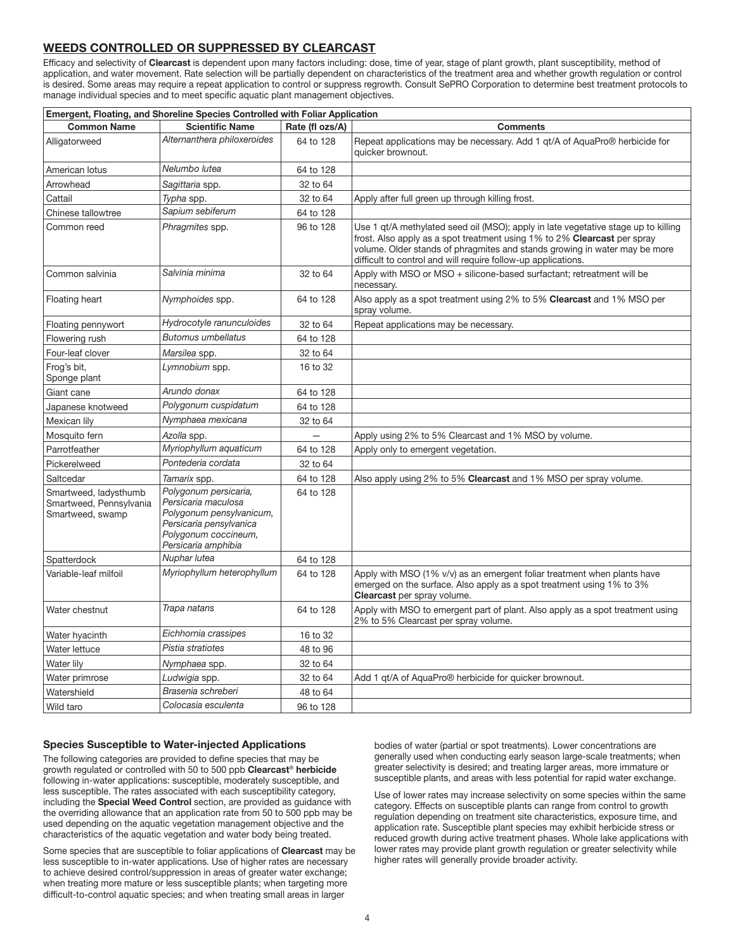## **WEEDS CONTROLLED OR SUPPRESSED BY CLEARCAST**

Efficacy and selectivity of **Clearcast** is dependent upon many factors including: dose, time of year, stage of plant growth, plant susceptibility, method of application, and water movement. Rate selection will be partially dependent on characteristics of the treatment area and whether growth regulation or control is desired. Some areas may require a repeat application to control or suppress regrowth. Consult SePRO Corporation to determine best treatment protocols to manage individual species and to meet specific aquatic plant management objectives.

| Emergent, Floating, and Shoreline Species Controlled with Foliar Application |                                                                                                                                                    |                 |                                                                                                                                                                                                                                                                                                               |  |
|------------------------------------------------------------------------------|----------------------------------------------------------------------------------------------------------------------------------------------------|-----------------|---------------------------------------------------------------------------------------------------------------------------------------------------------------------------------------------------------------------------------------------------------------------------------------------------------------|--|
| <b>Common Name</b>                                                           | <b>Scientific Name</b>                                                                                                                             | Rate (fl ozs/A) | <b>Comments</b>                                                                                                                                                                                                                                                                                               |  |
| Alligatorweed                                                                | Alternanthera philoxeroides                                                                                                                        | 64 to 128       | Repeat applications may be necessary. Add 1 gt/A of AguaPro <sup>®</sup> herbicide for<br>quicker brownout.                                                                                                                                                                                                   |  |
| American lotus                                                               | Nelumbo lutea                                                                                                                                      | 64 to 128       |                                                                                                                                                                                                                                                                                                               |  |
| Arrowhead                                                                    | Sagittaria spp.                                                                                                                                    | 32 to 64        |                                                                                                                                                                                                                                                                                                               |  |
| Cattail                                                                      | Typha spp.                                                                                                                                         | 32 to 64        | Apply after full green up through killing frost.                                                                                                                                                                                                                                                              |  |
| Chinese tallowtree                                                           | Sapium sebiferum                                                                                                                                   | 64 to 128       |                                                                                                                                                                                                                                                                                                               |  |
| Common reed                                                                  | Phragmites spp.                                                                                                                                    | 96 to 128       | Use 1 qt/A methylated seed oil (MSO); apply in late vegetative stage up to killing<br>frost. Also apply as a spot treatment using 1% to 2% Clearcast per spray<br>volume. Older stands of phragmites and stands growing in water may be more<br>difficult to control and will require follow-up applications. |  |
| Common salvinia                                                              | Salvinia minima                                                                                                                                    | 32 to 64        | Apply with MSO or MSO + silicone-based surfactant; retreatment will be<br>necessary.                                                                                                                                                                                                                          |  |
| Floating heart                                                               | Nymphoides spp.                                                                                                                                    | 64 to 128       | Also apply as a spot treatment using 2% to 5% Clearcast and 1% MSO per<br>spray volume.                                                                                                                                                                                                                       |  |
| Floating pennywort                                                           | Hydrocotyle ranunculoides                                                                                                                          | 32 to 64        | Repeat applications may be necessary.                                                                                                                                                                                                                                                                         |  |
| Flowering rush                                                               | <b>Butomus umbellatus</b>                                                                                                                          | 64 to 128       |                                                                                                                                                                                                                                                                                                               |  |
| Four-leaf clover                                                             | Marsilea spp.                                                                                                                                      | 32 to 64        |                                                                                                                                                                                                                                                                                                               |  |
| Frog's bit,<br>Sponge plant                                                  | Lymnobium spp.                                                                                                                                     | 16 to 32        |                                                                                                                                                                                                                                                                                                               |  |
| Giant cane                                                                   | Arundo donax                                                                                                                                       | 64 to 128       |                                                                                                                                                                                                                                                                                                               |  |
| Japanese knotweed                                                            | Polygonum cuspidatum                                                                                                                               | 64 to 128       |                                                                                                                                                                                                                                                                                                               |  |
| Mexican lily                                                                 | Nymphaea mexicana                                                                                                                                  | 32 to 64        |                                                                                                                                                                                                                                                                                                               |  |
| Mosquito fern                                                                | Azolla spp.                                                                                                                                        |                 | Apply using 2% to 5% Clearcast and 1% MSO by volume.                                                                                                                                                                                                                                                          |  |
| Parrotfeather                                                                | Myriophyllum aquaticum                                                                                                                             | 64 to 128       | Apply only to emergent vegetation.                                                                                                                                                                                                                                                                            |  |
| Pickerelweed                                                                 | Pontederia cordata                                                                                                                                 | 32 to 64        |                                                                                                                                                                                                                                                                                                               |  |
| Saltcedar                                                                    | Tamarix spp.                                                                                                                                       | 64 to 128       | Also apply using 2% to 5% Clearcast and 1% MSO per spray volume.                                                                                                                                                                                                                                              |  |
| Smartweed, ladysthumb<br>Smartweed, Pennsylvania<br>Smartweed, swamp         | Polygonum persicaria,<br>Persicaria maculosa<br>Polygonum pensylvanicum,<br>Persicaria pensylvanica<br>Polygonum coccineum,<br>Persicaria amphibia | 64 to 128       |                                                                                                                                                                                                                                                                                                               |  |
| Spatterdock                                                                  | Nuphar lutea                                                                                                                                       | 64 to 128       |                                                                                                                                                                                                                                                                                                               |  |
| Variable-leaf milfoil                                                        | Myriophyllum heterophyllum                                                                                                                         | 64 to 128       | Apply with MSO (1% v/v) as an emergent foliar treatment when plants have<br>emerged on the surface. Also apply as a spot treatment using 1% to 3%<br><b>Clearcast</b> per spray volume.                                                                                                                       |  |
| Water chestnut                                                               | Trapa natans                                                                                                                                       | 64 to 128       | Apply with MSO to emergent part of plant. Also apply as a spot treatment using<br>2% to 5% Clearcast per spray volume.                                                                                                                                                                                        |  |
| Water hyacinth                                                               | Eichhornia crassipes                                                                                                                               | 16 to 32        |                                                                                                                                                                                                                                                                                                               |  |
| Water lettuce                                                                | Pistia stratiotes                                                                                                                                  | 48 to 96        |                                                                                                                                                                                                                                                                                                               |  |
| Water lily                                                                   | Nymphaea spp.                                                                                                                                      | 32 to 64        |                                                                                                                                                                                                                                                                                                               |  |
| Water primrose                                                               | Ludwigia spp.                                                                                                                                      | 32 to 64        | Add 1 gt/A of AquaPro <sup>®</sup> herbicide for quicker brownout.                                                                                                                                                                                                                                            |  |
| Watershield                                                                  | Brasenia schreberi                                                                                                                                 | 48 to 64        |                                                                                                                                                                                                                                                                                                               |  |
| Wild taro                                                                    | Colocasia esculenta                                                                                                                                | 96 to 128       |                                                                                                                                                                                                                                                                                                               |  |

#### **Species Susceptible to Water-injected Applications**

The following categories are provided to define species that may be growth regulated or controlled with 50 to 500 ppb **Clearcast**® **herbicide** following in-water applications: susceptible, moderately susceptible, and less susceptible. The rates associated with each susceptibility category, including the **Special Weed Control** section, are provided as guidance with the overriding allowance that an application rate from 50 to 500 ppb may be used depending on the aquatic vegetation management objective and the characteristics of the aquatic vegetation and water body being treated.

Some species that are susceptible to foliar applications of **Clearcast** may be less susceptible to in-water applications. Use of higher rates are necessary to achieve desired control/suppression in areas of greater water exchange; when treating more mature or less susceptible plants; when targeting more difficult-to-control aquatic species; and when treating small areas in larger

bodies of water (partial or spot treatments). Lower concentrations are generally used when conducting early season large-scale treatments; when greater selectivity is desired; and treating larger areas, more immature or susceptible plants, and areas with less potential for rapid water exchange.

Use of lower rates may increase selectivity on some species within the same category. Effects on susceptible plants can range from control to growth regulation depending on treatment site characteristics, exposure time, and application rate. Susceptible plant species may exhibit herbicide stress or reduced growth during active treatment phases. Whole lake applications with lower rates may provide plant growth regulation or greater selectivity while higher rates will generally provide broader activity.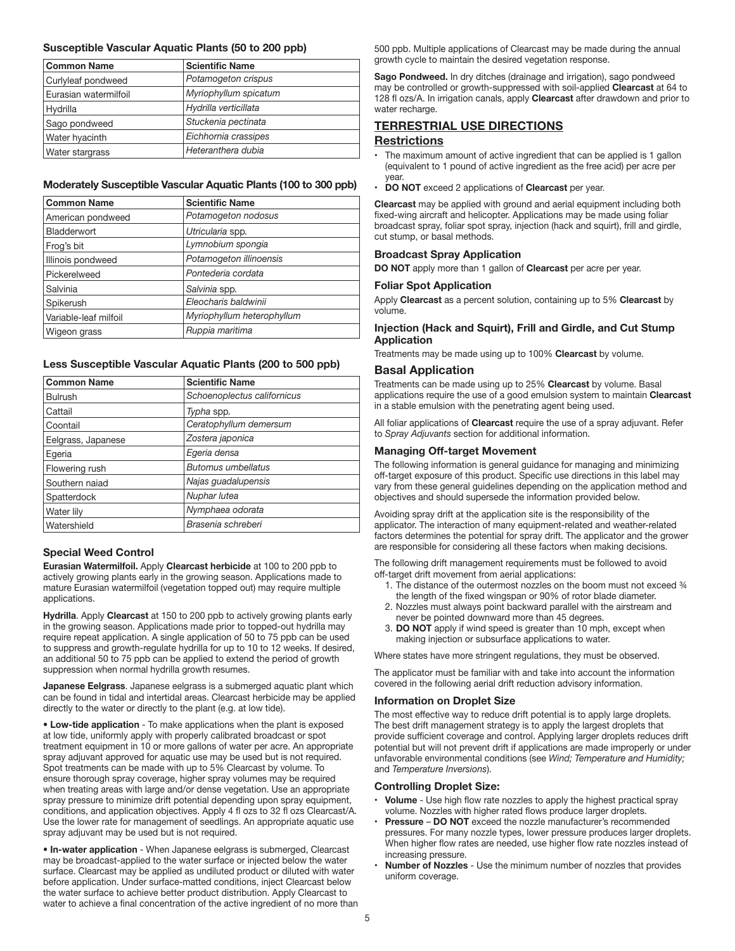#### **Susceptible Vascular Aquatic Plants (50 to 200 ppb)**

| <b>Common Name</b>    | <b>Scientific Name</b> |
|-----------------------|------------------------|
| Curlyleaf pondweed    | Potamogeton crispus    |
| Eurasian watermilfoil | Myriophyllum spicatum  |
| Hydrilla              | Hydrilla verticillata  |
| Sago pondweed         | Stuckenia pectinata    |
| Water hyacinth        | Eichhornia crassipes   |
| Water stargrass       | Heteranthera dubia     |

#### **Moderately Susceptible Vascular Aquatic Plants (100 to 300 ppb)**

| <b>Common Name</b>    | <b>Scientific Name</b>     |
|-----------------------|----------------------------|
| American pondweed     | Potamogeton nodosus        |
| Bladderwort           | Utricularia spp.           |
| Frog's bit            | Lymnobium spongia          |
| Illinois pondweed     | Potamogeton illinoensis    |
| Pickerelweed          | Pontederia cordata         |
| Salvinia              | Salvinia spp.              |
| Spikerush             | Eleocharis baldwinii       |
| Variable-leaf milfoil | Myriophyllum heterophyllum |
| Wigeon grass          | Ruppia maritima            |

#### **Less Susceptible Vascular Aquatic Plants (200 to 500 ppb)**

| <b>Common Name</b> | <b>Scientific Name</b>      |
|--------------------|-----------------------------|
| <b>Bulrush</b>     | Schoenoplectus californicus |
| Cattail            | Typha spp.                  |
| Coontail           | Ceratophyllum demersum      |
| Eelgrass, Japanese | Zostera japonica            |
| Egeria             | Egeria densa                |
| Flowering rush     | <b>Butomus umbellatus</b>   |
| Southern naiad     | Najas guadalupensis         |
| Spatterdock        | Nuphar lutea                |
| Water lily         | Nymphaea odorata            |
| Watershield        | Brasenia schreberi          |

#### **Special Weed Control**

**Eurasian Watermilfoil.** Apply **Clearcast herbicide** at 100 to 200 ppb to actively growing plants early in the growing season. Applications made to mature Eurasian watermilfoil (vegetation topped out) may require multiple applications.

**Hydrilla**. Apply **Clearcast** at 150 to 200 ppb to actively growing plants early in the growing season. Applications made prior to topped-out hydrilla may require repeat application. A single application of 50 to 75 ppb can be used to suppress and growth-regulate hydrilla for up to 10 to 12 weeks. If desired, an additional 50 to 75 ppb can be applied to extend the period of growth suppression when normal hydrilla growth resumes.

**Japanese Eelgrass**. Japanese eelgrass is a submerged aquatic plant which can be found in tidal and intertidal areas. Clearcast herbicide may be applied directly to the water or directly to the plant (e.g. at low tide).

**• Low-tide application** - To make applications when the plant is exposed at low tide, uniformly apply with properly calibrated broadcast or spot treatment equipment in 10 or more gallons of water per acre. An appropriate spray adjuvant approved for aquatic use may be used but is not required. Spot treatments can be made with up to 5% Clearcast by volume. To ensure thorough spray coverage, higher spray volumes may be required when treating areas with large and/or dense vegetation. Use an appropriate spray pressure to minimize drift potential depending upon spray equipment, conditions, and application objectives. Apply 4 fl ozs to 32 fl ozs Clearcast/A. Use the lower rate for management of seedlings. An appropriate aquatic use spray adjuvant may be used but is not required.

**• In-water application** - When Japanese eelgrass is submerged, Clearcast may be broadcast-applied to the water surface or injected below the water surface. Clearcast may be applied as undiluted product or diluted with water before application. Under surface-matted conditions, inject Clearcast below the water surface to achieve better product distribution. Apply Clearcast to water to achieve a final concentration of the active ingredient of no more than 500 ppb. Multiple applications of Clearcast may be made during the annual growth cycle to maintain the desired vegetation response.

**Sago Pondweed.** In dry ditches (drainage and irrigation), sago pondweed may be controlled or growth-suppressed with soil-applied **Clearcast** at 64 to 128 fl ozs/A. In irrigation canals, apply **Clearcast** after drawdown and prior to water recharge.

## **TERRESTRIAL USE DIRECTIONS Restrictions**

- The maximum amount of active ingredient that can be applied is 1 gallon (equivalent to 1 pound of active ingredient as the free acid) per acre per year.
- **DO NOT** exceed 2 applications of **Clearcast** per year.

**Clearcast** may be applied with ground and aerial equipment including both fixed-wing aircraft and helicopter. Applications may be made using foliar broadcast spray, foliar spot spray, injection (hack and squirt), frill and girdle, cut stump, or basal methods.

#### **Broadcast Spray Application**

**DO NOT** apply more than 1 gallon of **Clearcast** per acre per year.

#### **Foliar Spot Application**

Apply **Clearcast** as a percent solution, containing up to 5% **Clearcast** by volume.

#### **Injection (Hack and Squirt), Frill and Girdle, and Cut Stump Application**

Treatments may be made using up to 100% **Clearcast** by volume.

#### **Basal Application**

Treatments can be made using up to 25% **Clearcast** by volume. Basal applications require the use of a good emulsion system to maintain **Clearcast** in a stable emulsion with the penetrating agent being used.

All foliar applications of **Clearcast** require the use of a spray adjuvant. Refer to *Spray Adjuvants* section for additional information.

#### **Managing Off-target Movement**

The following information is general guidance for managing and minimizing off-target exposure of this product. Specific use directions in this label may vary from these general guidelines depending on the application method and objectives and should supersede the information provided below.

Avoiding spray drift at the application site is the responsibility of the applicator. The interaction of many equipment-related and weather-related factors determines the potential for spray drift. The applicator and the grower are responsible for considering all these factors when making decisions.

The following drift management requirements must be followed to avoid off-target drift movement from aerial applications:

- 1. The distance of the outermost nozzles on the boom must not exceed ¾ the length of the fixed wingspan or 90% of rotor blade diameter.
- 2. Nozzles must always point backward parallel with the airstream and never be pointed downward more than 45 degrees.
- 3. **DO NOT** apply if wind speed is greater than 10 mph, except when making injection or subsurface applications to water.

Where states have more stringent regulations, they must be observed.

The applicator must be familiar with and take into account the information covered in the following aerial drift reduction advisory information.

#### **Information on Droplet Size**

The most effective way to reduce drift potential is to apply large droplets. The best drift management strategy is to apply the largest droplets that provide sufficient coverage and control. Applying larger droplets reduces drift potential but will not prevent drift if applications are made improperly or under unfavorable environmental conditions (see *Wind; Temperature and Humidity;*  and *Temperature Inversions*).

#### **Controlling Droplet Size:**

- **Volume** Use high flow rate nozzles to apply the highest practical spray volume. Nozzles with higher rated flows produce larger droplets.
- **Pressure DO NOT** exceed the nozzle manufacturer's recommended pressures. For many nozzle types, lower pressure produces larger droplets. When higher flow rates are needed, use higher flow rate nozzles instead of increasing pressure.
- **Number of Nozzles** Use the minimum number of nozzles that provides uniform coverage.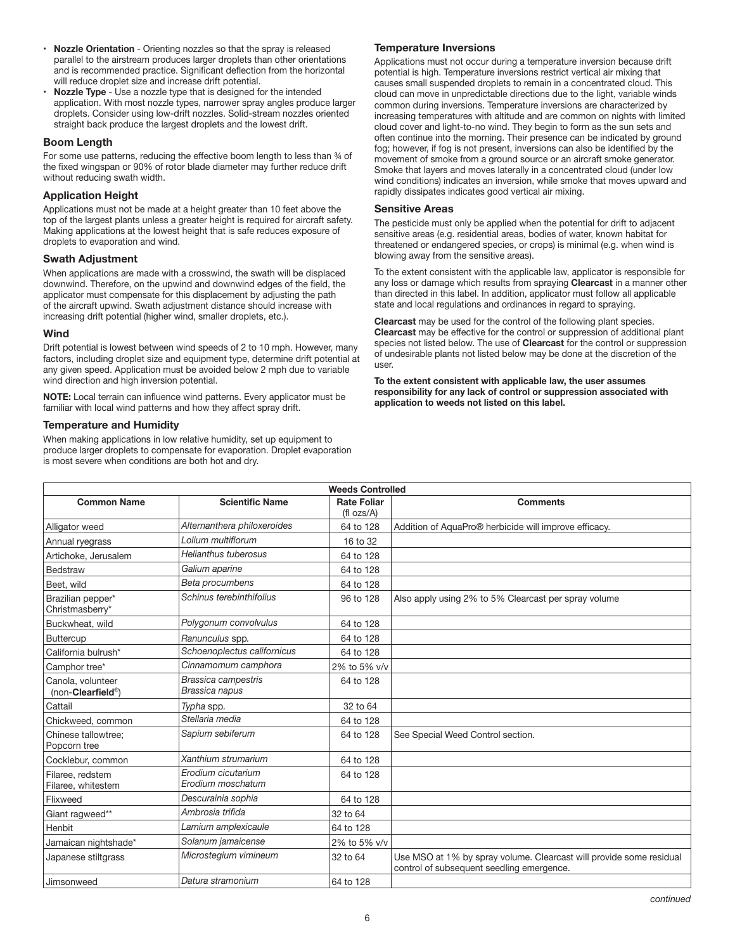- **Nozzle Orientation** Orienting nozzles so that the spray is released parallel to the airstream produces larger droplets than other orientations and is recommended practice. Significant deflection from the horizontal will reduce droplet size and increase drift potential.
- **Nozzle Type** Use a nozzle type that is designed for the intended application. With most nozzle types, narrower spray angles produce larger droplets. Consider using low-drift nozzles. Solid-stream nozzles oriented straight back produce the largest droplets and the lowest drift.

#### **Boom Length**

For some use patterns, reducing the effective boom length to less than 34 of the fixed wingspan or 90% of rotor blade diameter may further reduce drift without reducing swath width.

#### **Application Height**

Applications must not be made at a height greater than 10 feet above the top of the largest plants unless a greater height is required for aircraft safety. Making applications at the lowest height that is safe reduces exposure of droplets to evaporation and wind.

#### **Swath Adjustment**

When applications are made with a crosswind, the swath will be displaced downwind. Therefore, on the upwind and downwind edges of the field, the applicator must compensate for this displacement by adjusting the path of the aircraft upwind. Swath adjustment distance should increase with increasing drift potential (higher wind, smaller droplets, etc.).

#### **Wind**

Drift potential is lowest between wind speeds of 2 to 10 mph. However, many factors, including droplet size and equipment type, determine drift potential at any given speed. Application must be avoided below 2 mph due to variable wind direction and high inversion potential.

**NOTE:** Local terrain can influence wind patterns. Every applicator must be familiar with local wind patterns and how they affect spray drift.

#### **Temperature and Humidity**

When making applications in low relative humidity, set up equipment to produce larger droplets to compensate for evaporation. Droplet evaporation is most severe when conditions are both hot and dry.

#### **Temperature Inversions**

Applications must not occur during a temperature inversion because drift potential is high. Temperature inversions restrict vertical air mixing that causes small suspended droplets to remain in a concentrated cloud. This cloud can move in unpredictable directions due to the light, variable winds common during inversions. Temperature inversions are characterized by increasing temperatures with altitude and are common on nights with limited cloud cover and light-to-no wind. They begin to form as the sun sets and often continue into the morning. Their presence can be indicated by ground fog; however, if fog is not present, inversions can also be identified by the movement of smoke from a ground source or an aircraft smoke generator. Smoke that layers and moves laterally in a concentrated cloud (under low wind conditions) indicates an inversion, while smoke that moves upward and rapidly dissipates indicates good vertical air mixing.

#### **Sensitive Areas**

The pesticide must only be applied when the potential for drift to adjacent sensitive areas (e.g. residential areas, bodies of water, known habitat for threatened or endangered species, or crops) is minimal (e.g. when wind is blowing away from the sensitive areas).

To the extent consistent with the applicable law, applicator is responsible for any loss or damage which results from spraying **Clearcast** in a manner other than directed in this label. In addition, applicator must follow all applicable state and local regulations and ordinances in regard to spraying.

**Clearcast** may be used for the control of the following plant species. **Clearcast** may be effective for the control or suppression of additional plant species not listed below. The use of **Clearcast** for the control or suppression of undesirable plants not listed below may be done at the discretion of the user.

**To the extent consistent with applicable law, the user assumes responsibility for any lack of control or suppression associated with application to weeds not listed on this label.**

| <b>Weeds Controlled</b>                |                                              |                                       |                                                                                                                  |
|----------------------------------------|----------------------------------------------|---------------------------------------|------------------------------------------------------------------------------------------------------------------|
| <b>Common Name</b>                     | <b>Scientific Name</b>                       | <b>Rate Foliar</b><br>$(fI \, ozs/A)$ | <b>Comments</b>                                                                                                  |
| Alligator weed                         | Alternanthera philoxeroides                  | 64 to 128                             | Addition of AquaPro® herbicide will improve efficacy.                                                            |
| Annual ryegrass                        | I olium multiflorum                          | 16 to 32                              |                                                                                                                  |
| Artichoke, Jerusalem                   | Helianthus tuberosus                         | 64 to 128                             |                                                                                                                  |
| Bedstraw                               | Galium aparine                               | 64 to 128                             |                                                                                                                  |
| Beet, wild                             | Beta procumbens                              | 64 to 128                             |                                                                                                                  |
| Brazilian pepper*<br>Christmasberry*   | Schinus terebinthifolius                     | 96 to 128                             | Also apply using 2% to 5% Clearcast per spray volume                                                             |
| Buckwheat, wild                        | Polygonum convolvulus                        | 64 to 128                             |                                                                                                                  |
| <b>Buttercup</b>                       | Ranunculus spp.                              | 64 to 128                             |                                                                                                                  |
| California bulrush*                    | Schoenoplectus californicus                  | 64 to 128                             |                                                                                                                  |
| Camphor tree*                          | Cinnamomum camphora                          | 2% to 5% v/v                          |                                                                                                                  |
| Canola, volunteer<br>(non-Clearfield®) | <b>Brassica campestris</b><br>Brassica napus | 64 to 128                             |                                                                                                                  |
| Cattail                                | Typha spp.                                   | 32 to 64                              |                                                                                                                  |
| Chickweed, common                      | Stellaria media                              | 64 to 128                             |                                                                                                                  |
| Chinese tallowtree:<br>Popcorn tree    | Sapium sebiferum                             | 64 to 128                             | See Special Weed Control section.                                                                                |
| Cocklebur, common                      | Xanthium strumarium                          | 64 to 128                             |                                                                                                                  |
| Filaree, redstem<br>Filaree, whitestem | Erodium cicutarium<br>Erodium moschatum      | 64 to 128                             |                                                                                                                  |
| Flixweed                               | Descurainia sophia                           | 64 to 128                             |                                                                                                                  |
| Giant ragweed**                        | Ambrosia trifida                             | 32 to 64                              |                                                                                                                  |
| Henbit                                 | Lamium amplexicaule                          | 64 to 128                             |                                                                                                                  |
| Jamaican nightshade*                   | Solanum jamaicense                           | 2% to 5% v/v                          |                                                                                                                  |
| Japanese stiltgrass                    | Microstegium vimineum                        | 32 to 64                              | Use MSO at 1% by spray volume. Clearcast will provide some residual<br>control of subsequent seedling emergence. |
| Jimsonweed                             | Datura stramonium                            | 64 to 128                             |                                                                                                                  |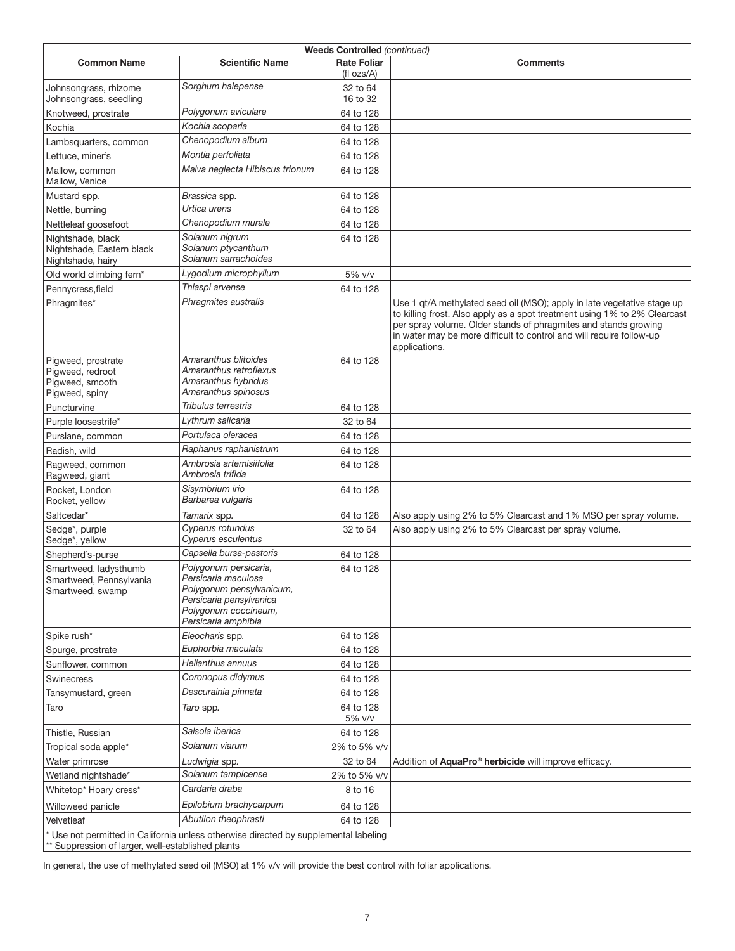| <b>Weeds Controlled (continued)</b>                                                                                                       |                                                                                                                                                    |                                     |                                                                                                                                                                                                                                                                                                                  |
|-------------------------------------------------------------------------------------------------------------------------------------------|----------------------------------------------------------------------------------------------------------------------------------------------------|-------------------------------------|------------------------------------------------------------------------------------------------------------------------------------------------------------------------------------------------------------------------------------------------------------------------------------------------------------------|
| <b>Common Name</b>                                                                                                                        | <b>Scientific Name</b>                                                                                                                             | <b>Rate Foliar</b><br>(fl $ozs/A$ ) | <b>Comments</b>                                                                                                                                                                                                                                                                                                  |
| Johnsongrass, rhizome<br>Johnsongrass, seedling                                                                                           | Sorghum halepense                                                                                                                                  | 32 to 64<br>16 to 32                |                                                                                                                                                                                                                                                                                                                  |
| Knotweed, prostrate                                                                                                                       | Polygonum aviculare                                                                                                                                | 64 to 128                           |                                                                                                                                                                                                                                                                                                                  |
| Kochia                                                                                                                                    | Kochia scoparia                                                                                                                                    | 64 to 128                           |                                                                                                                                                                                                                                                                                                                  |
| Lambsquarters, common                                                                                                                     | Chenopodium album                                                                                                                                  | 64 to 128                           |                                                                                                                                                                                                                                                                                                                  |
| Lettuce, miner's                                                                                                                          | Montia perfoliata                                                                                                                                  | 64 to 128                           |                                                                                                                                                                                                                                                                                                                  |
| Mallow, common<br>Mallow, Venice                                                                                                          | Malva neglecta Hibiscus trionum                                                                                                                    | 64 to 128                           |                                                                                                                                                                                                                                                                                                                  |
| Mustard spp.                                                                                                                              | Brassica spp.                                                                                                                                      | 64 to 128                           |                                                                                                                                                                                                                                                                                                                  |
| Nettle, burning                                                                                                                           | Urtica urens                                                                                                                                       | 64 to 128                           |                                                                                                                                                                                                                                                                                                                  |
| Nettleleaf goosefoot                                                                                                                      | Chenopodium murale                                                                                                                                 | 64 to 128                           |                                                                                                                                                                                                                                                                                                                  |
| Nightshade, black<br>Nightshade, Eastern black<br>Nightshade, hairy                                                                       | Solanum nigrum<br>Solanum ptycanthum<br>Solanum sarrachoides                                                                                       | 64 to 128                           |                                                                                                                                                                                                                                                                                                                  |
| Old world climbing fern*                                                                                                                  | Lygodium microphyllum                                                                                                                              | 5% v/v                              |                                                                                                                                                                                                                                                                                                                  |
| Pennycress, field                                                                                                                         | Thlaspi arvense                                                                                                                                    | 64 to 128                           |                                                                                                                                                                                                                                                                                                                  |
| Phragmites*                                                                                                                               | Phragmites australis                                                                                                                               |                                     | Use 1 gt/A methylated seed oil (MSO); apply in late vegetative stage up<br>to killing frost. Also apply as a spot treatment using 1% to 2% Clearcast<br>per spray volume. Older stands of phragmites and stands growing<br>in water may be more difficult to control and will require follow-up<br>applications. |
| Pigweed, prostrate<br>Pigweed, redroot<br>Pigweed, smooth<br>Pigweed, spiny                                                               | Amaranthus blitoides<br>Amaranthus retroflexus<br>Amaranthus hybridus<br>Amaranthus spinosus                                                       | 64 to 128                           |                                                                                                                                                                                                                                                                                                                  |
| Puncturvine                                                                                                                               | Tribulus terrestris                                                                                                                                | 64 to 128                           |                                                                                                                                                                                                                                                                                                                  |
| Purple loosestrife*                                                                                                                       | Lythrum salicaria                                                                                                                                  | 32 to 64                            |                                                                                                                                                                                                                                                                                                                  |
| Purslane, common                                                                                                                          | Portulaca oleracea                                                                                                                                 | 64 to 128                           |                                                                                                                                                                                                                                                                                                                  |
| Radish, wild                                                                                                                              | Raphanus raphanistrum                                                                                                                              | 64 to 128                           |                                                                                                                                                                                                                                                                                                                  |
| Ragweed, common<br>Ragweed, giant                                                                                                         | Ambrosia artemisiifolia<br>Ambrosia trifida                                                                                                        | 64 to 128                           |                                                                                                                                                                                                                                                                                                                  |
| Rocket, London<br>Rocket, yellow                                                                                                          | Sisymbrium irio<br>Barbarea vulgaris                                                                                                               | 64 to 128                           |                                                                                                                                                                                                                                                                                                                  |
| Saltcedar*                                                                                                                                | Tamarix spp.                                                                                                                                       | 64 to 128                           | Also apply using 2% to 5% Clearcast and 1% MSO per spray volume.                                                                                                                                                                                                                                                 |
| Sedge*, purple<br>Sedge*, yellow                                                                                                          | Cyperus rotundus<br>Cyperus esculentus                                                                                                             | 32 to 64                            | Also apply using 2% to 5% Clearcast per spray volume.                                                                                                                                                                                                                                                            |
| Shepherd's-purse                                                                                                                          | Capsella bursa-pastoris                                                                                                                            | 64 to 128                           |                                                                                                                                                                                                                                                                                                                  |
| Smartweed, ladysthumb<br>Smartweed, Pennsylvania<br>Smartweed, swamp                                                                      | Polygonum persicaria,<br>Persicaria maculosa<br>Polygonum pensylvanicum,<br>Persicaria pensylvanica<br>Polygonum coccineum,<br>Persicaria amphibia | 64 to 128                           |                                                                                                                                                                                                                                                                                                                  |
| Spike rush*                                                                                                                               | Eleocharis spp.                                                                                                                                    | 64 to 128                           |                                                                                                                                                                                                                                                                                                                  |
| Spurge, prostrate                                                                                                                         | Euphorbia maculata                                                                                                                                 | 64 to 128                           |                                                                                                                                                                                                                                                                                                                  |
| Sunflower, common                                                                                                                         | Helianthus annuus                                                                                                                                  | 64 to 128                           |                                                                                                                                                                                                                                                                                                                  |
| Swinecress                                                                                                                                | Coronopus didymus                                                                                                                                  | 64 to 128                           |                                                                                                                                                                                                                                                                                                                  |
| Tansymustard, green                                                                                                                       | Descurainia pinnata                                                                                                                                | 64 to 128                           |                                                                                                                                                                                                                                                                                                                  |
| Taro                                                                                                                                      | Taro spp.                                                                                                                                          | 64 to 128<br>5% v/v                 |                                                                                                                                                                                                                                                                                                                  |
| Thistle, Russian                                                                                                                          | Salsola iberica                                                                                                                                    | 64 to 128                           |                                                                                                                                                                                                                                                                                                                  |
| Tropical soda apple*                                                                                                                      | Solanum viarum                                                                                                                                     | 2% to 5% v/v                        |                                                                                                                                                                                                                                                                                                                  |
| Water primrose                                                                                                                            | Ludwigia spp.                                                                                                                                      | 32 to 64                            | Addition of AquaPro® herbicide will improve efficacy.                                                                                                                                                                                                                                                            |
| Wetland nightshade*                                                                                                                       | Solanum tampicense                                                                                                                                 | 2% to 5% v/v                        |                                                                                                                                                                                                                                                                                                                  |
| Whitetop* Hoary cress*                                                                                                                    | Cardaria draba                                                                                                                                     | 8 to 16                             |                                                                                                                                                                                                                                                                                                                  |
| Willoweed panicle                                                                                                                         | Epilobium brachycarpum                                                                                                                             | 64 to 128                           |                                                                                                                                                                                                                                                                                                                  |
| Velvetleaf                                                                                                                                | Abutilon theophrasti                                                                                                                               | 64 to 128                           |                                                                                                                                                                                                                                                                                                                  |
| * Use not permitted in California unless otherwise directed by supplemental labeling<br>** Suppression of larger, well-established plants |                                                                                                                                                    |                                     |                                                                                                                                                                                                                                                                                                                  |

In general, the use of methylated seed oil (MSO) at 1% v/v will provide the best control with foliar applications.